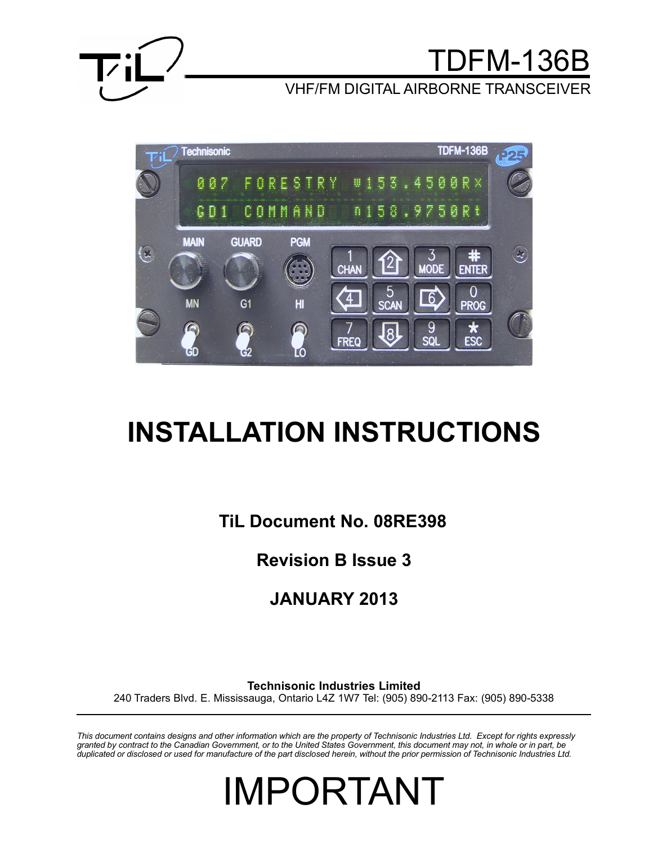

## TDFM-136B

VHF/FM DIGITAL AIRBORNE TRANSCEIVER



# **INSTALLATION INSTRUCTIONS**

**TiL Document No. 08RE398**

**Revision B Issue 3**

**JANUARY 2013**

**Technisonic Industries Limited**

240 Traders Blvd. E. Mississauga, Ontario L4Z 1W7 Tel: (905) 890-2113 Fax: (905) 890-5338

*This document contains designs and other information which are the property of Technisonic Industries Ltd. Except for rights expressly granted by contract to the Canadian Government, or to the United States Government, this document may not, in whole or in part, be duplicated or disclosed or used for manufacture of the part disclosed herein, without the prior permission of Technisonic Industries Ltd.*

IMPORTANT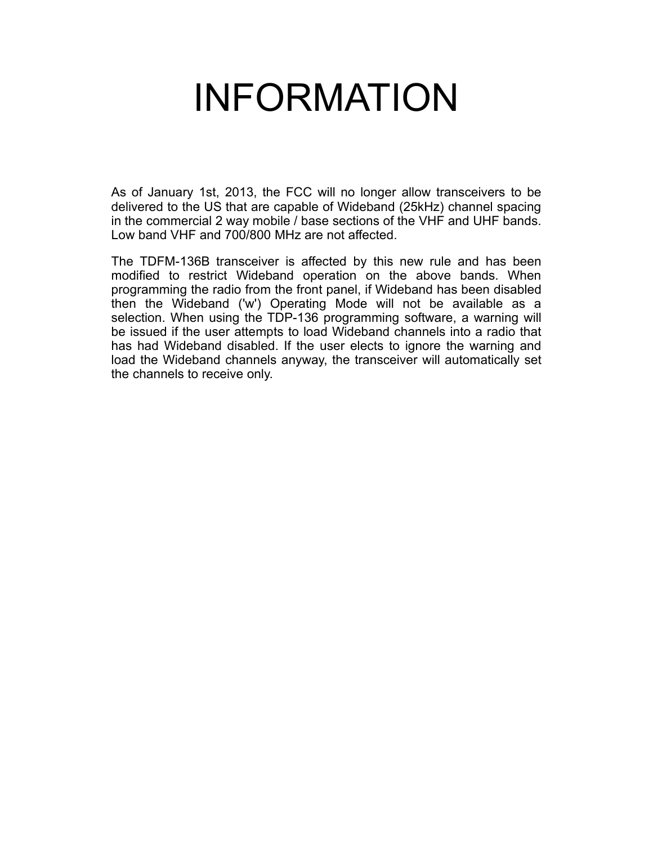# INFORMATION

As of January 1st, 2013, the FCC will no longer allow transceivers to be delivered to the US that are capable of Wideband (25kHz) channel spacing in the commercial 2 way mobile / base sections of the VHF and UHF bands. Low band VHF and 700/800 MHz are not affected.

The TDFM-136B transceiver is affected by this new rule and has been modified to restrict Wideband operation on the above bands. When programming the radio from the front panel, if Wideband has been disabled then the Wideband ('w') Operating Mode will not be available as a selection. When using the TDP-136 programming software, a warning will be issued if the user attempts to load Wideband channels into a radio that has had Wideband disabled. If the user elects to ignore the warning and load the Wideband channels anyway, the transceiver will automatically set the channels to receive only.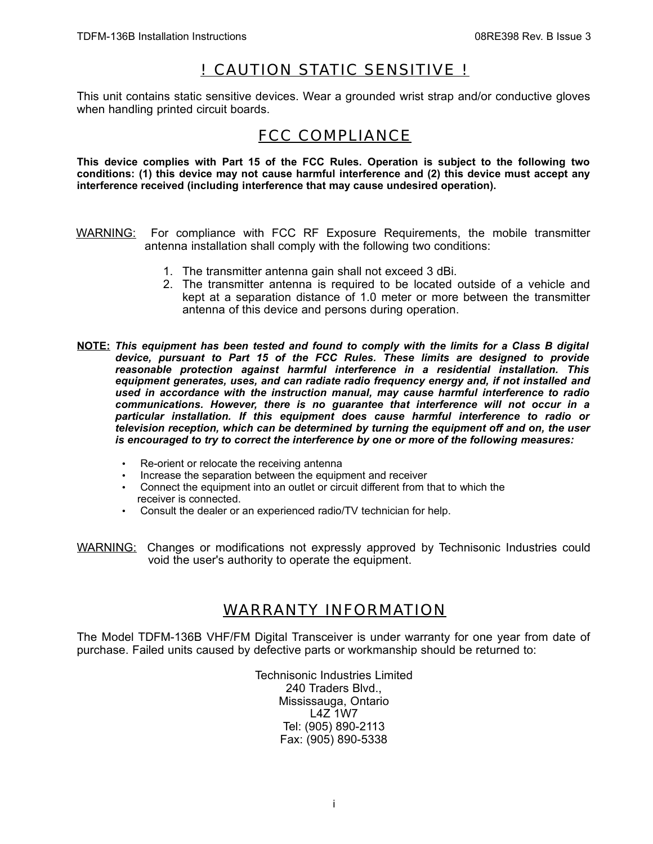## ! CAUTION STATIC SENSITIVE !

This unit contains static sensitive devices. Wear a grounded wrist strap and/or conductive gloves when handling printed circuit boards.

## FCC COMPLIANCE

**This device complies with Part 15 of the FCC Rules. Operation is subject to the following two conditions: (1) this device may not cause harmful interference and (2) this device must accept any interference received (including interference that may cause undesired operation).**

- WARNING: For compliance with FCC RF Exposure Requirements, the mobile transmitter antenna installation shall comply with the following two conditions:
	- 1. The transmitter antenna gain shall not exceed 3 dBi.
	- 2. The transmitter antenna is required to be located outside of a vehicle and kept at a separation distance of 1.0 meter or more between the transmitter antenna of this device and persons during operation.
- **NOTE:** *This equipment has been tested and found to comply with the limits for a Class B digital device, pursuant to Part 15 of the FCC Rules. These limits are designed to provide reasonable protection against harmful interference in a residential installation. This equipment generates, uses, and can radiate radio frequency energy and, if not installed and used in accordance with the instruction manual, may cause harmful interference to radio communications. However, there is no guarantee that interference will not occur in a particular installation. If this equipment does cause harmful interference to radio or television reception, which can be determined by turning the equipment off and on, the user is encouraged to try to correct the interference by one or more of the following measures:*
	- Re-orient or relocate the receiving antenna
	- Increase the separation between the equipment and receiver
	- Connect the equipment into an outlet or circuit different from that to which the receiver is connected.
	- Consult the dealer or an experienced radio/TV technician for help.
- WARNING: Changes or modifications not expressly approved by Technisonic Industries could void the user's authority to operate the equipment.

## WARRANTY INFORMATION

The Model TDFM-136B VHF/FM Digital Transceiver is under warranty for one year from date of purchase. Failed units caused by defective parts or workmanship should be returned to:

> Technisonic Industries Limited 240 Traders Blvd., Mississauga, Ontario L4Z 1W7 Tel: (905) 890-2113 Fax: (905) 890-5338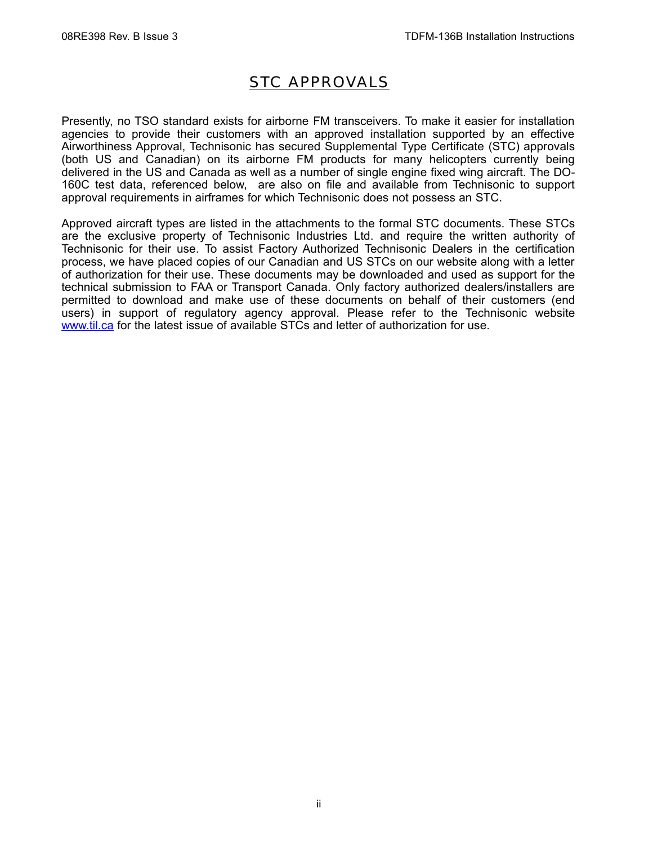## STC APPROVALS

Presently, no TSO standard exists for airborne FM transceivers. To make it easier for installation agencies to provide their customers with an approved installation supported by an effective Airworthiness Approval, Technisonic has secured Supplemental Type Certificate (STC) approvals (both US and Canadian) on its airborne FM products for many helicopters currently being delivered in the US and Canada as well as a number of single engine fixed wing aircraft. The DO-160C test data, referenced below, are also on file and available from Technisonic to support approval requirements in airframes for which Technisonic does not possess an STC.

Approved aircraft types are listed in the attachments to the formal STC documents. These STCs are the exclusive property of Technisonic Industries Ltd. and require the written authority of Technisonic for their use. To assist Factory Authorized Technisonic Dealers in the certification process, we have placed copies of our Canadian and US STCs on our website along with a letter of authorization for their use. These documents may be downloaded and used as support for the technical submission to FAA or Transport Canada. Only factory authorized dealers/installers are permitted to download and make use of these documents on behalf of their customers (end users) in support of regulatory agency approval. Please refer to the Technisonic website [www.til.ca](http://www.til.ca/) for the latest issue of available STCs and letter of authorization for use.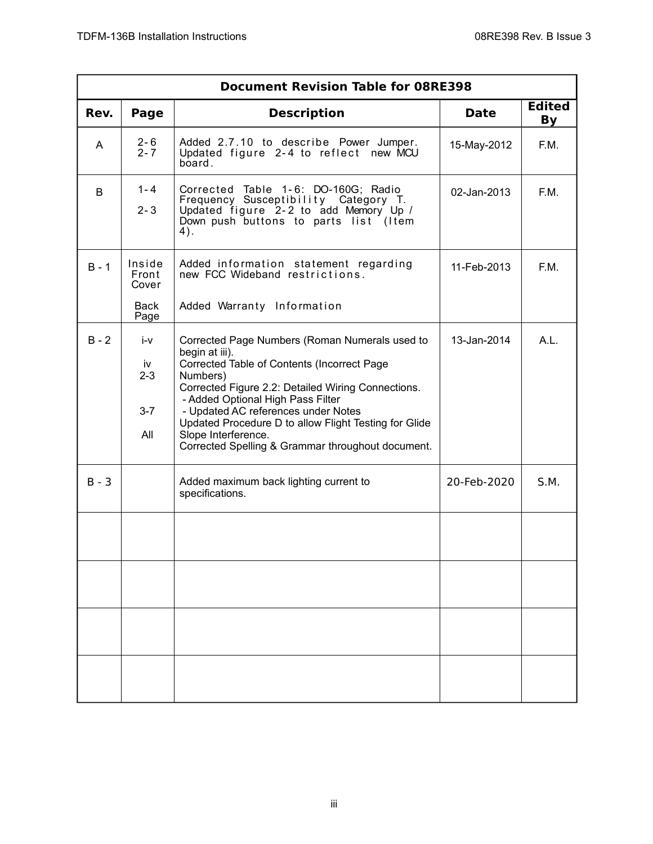|         | <b>Document Revision Table for 08RE398</b> |                                                                                                                                                                                                                                                                                                                                                                                                    |             |                     |  |
|---------|--------------------------------------------|----------------------------------------------------------------------------------------------------------------------------------------------------------------------------------------------------------------------------------------------------------------------------------------------------------------------------------------------------------------------------------------------------|-------------|---------------------|--|
| Rev.    | Page                                       | <b>Description</b>                                                                                                                                                                                                                                                                                                                                                                                 | <b>Date</b> | <b>Edited</b><br>By |  |
| A       | $\frac{2-6}{2-7}$                          | Added 2.7.10 to describe Power Jumper.<br>Updated figure 2-4 to reflect new MCU<br>board.                                                                                                                                                                                                                                                                                                          | 15-May-2012 | F.M.                |  |
| B       | $1 - 4$<br>$2 - 3$                         | Corrected Table 1-6: DO-160G; Radio<br>Frequency Susceptibility Category T.<br>Updated figure 2-2 to add Memory Up /<br>Down push buttons to parts list (Item<br>4).                                                                                                                                                                                                                               | 02-Jan-2013 | F.M.                |  |
| $B - 1$ | Inside<br>Front<br>Cover                   | Added information statement regarding<br>new FCC Wideband restrictions.                                                                                                                                                                                                                                                                                                                            | 11-Feb-2013 | F.M.                |  |
|         | Back<br>Page                               | Added Warranty Information                                                                                                                                                                                                                                                                                                                                                                         |             |                     |  |
| $B - 2$ | i-v<br>iv<br>$2 - 3$<br>$3 - 7$<br>All     | Corrected Page Numbers (Roman Numerals used to<br>begin at iii).<br>Corrected Table of Contents (Incorrect Page<br>Numbers)<br>Corrected Figure 2.2: Detailed Wiring Connections.<br>- Added Optional High Pass Filter<br>- Updated AC references under Notes<br>Updated Procedure D to allow Flight Testing for Glide<br>Slope Interference.<br>Corrected Spelling & Grammar throughout document. | 13-Jan-2014 | A.L.                |  |
| $B - 3$ |                                            | Added maximum back lighting current to<br>specifications.                                                                                                                                                                                                                                                                                                                                          | 20-Feb-2020 | S.M.                |  |
|         |                                            |                                                                                                                                                                                                                                                                                                                                                                                                    |             |                     |  |
|         |                                            |                                                                                                                                                                                                                                                                                                                                                                                                    |             |                     |  |
|         |                                            |                                                                                                                                                                                                                                                                                                                                                                                                    |             |                     |  |
|         |                                            |                                                                                                                                                                                                                                                                                                                                                                                                    |             |                     |  |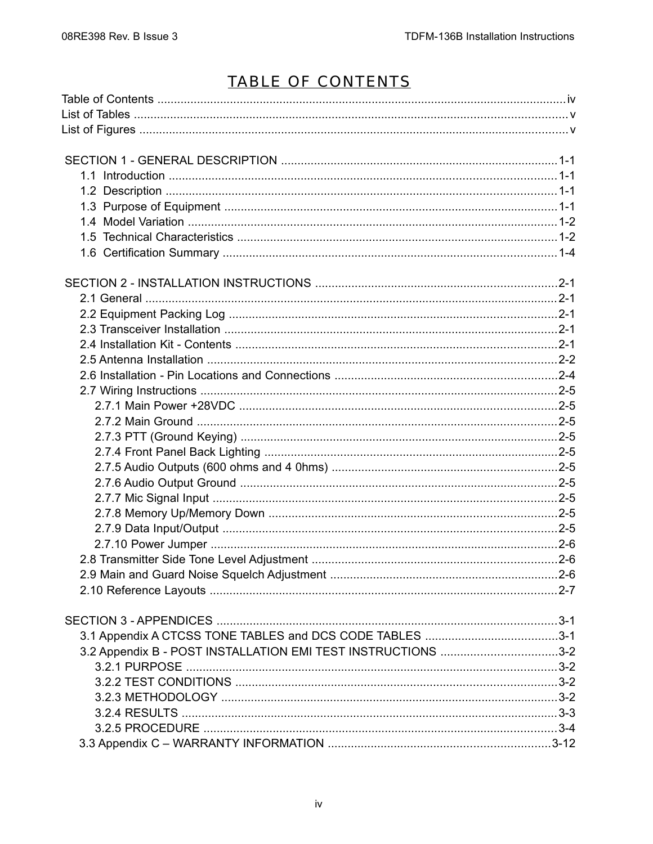## TABLE OF CONTENTS

| 3.2 Appendix B - POST INSTALLATION EMI TEST INSTRUCTIONS 3-2 |  |
|--------------------------------------------------------------|--|
|                                                              |  |
|                                                              |  |
|                                                              |  |
|                                                              |  |
|                                                              |  |
|                                                              |  |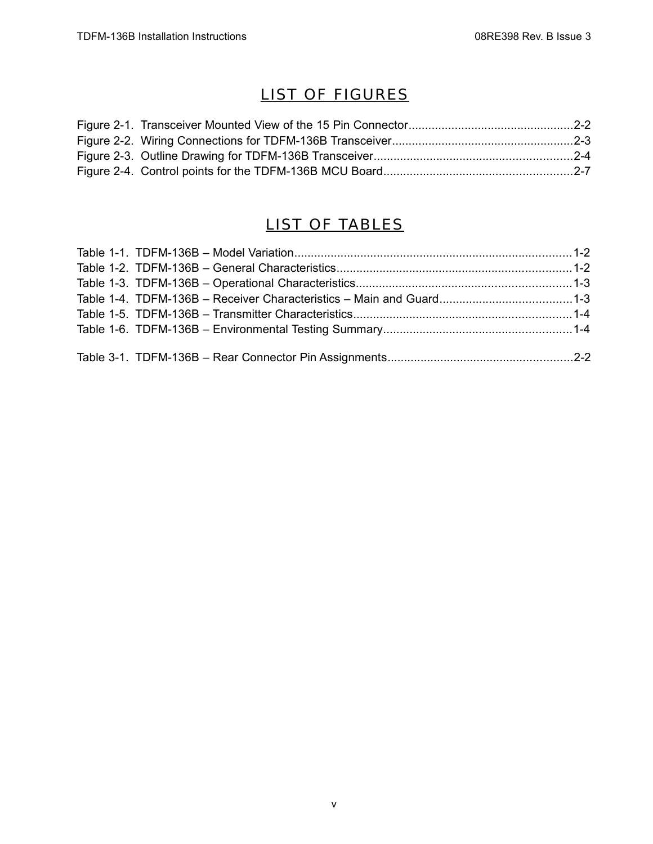## LIST OF FIGURES

## LIST OF TABLES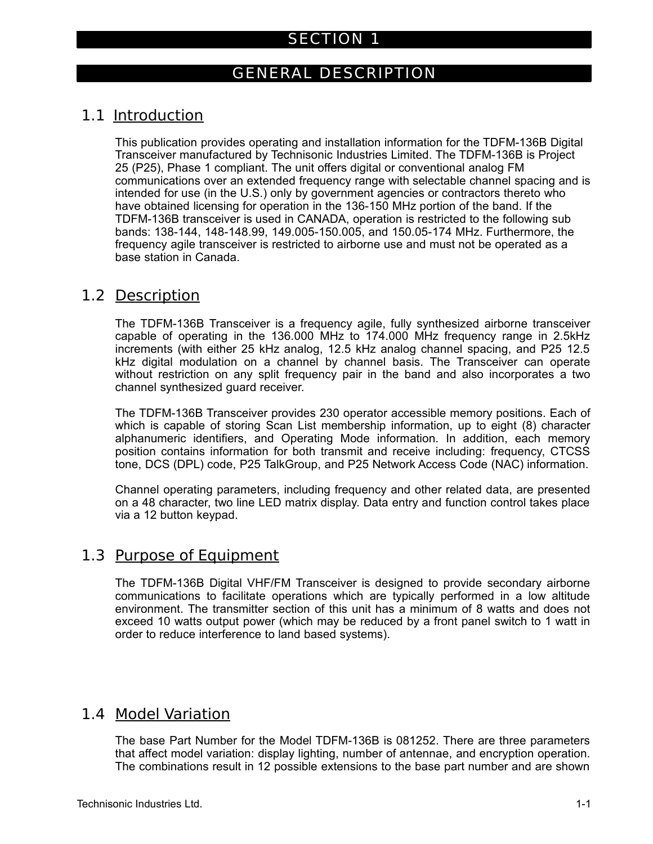## SECTION 1

## GENERAL DESCRIPTION

## 1.1 Introduction

This publication provides operating and installation information for the TDFM-136B Digital Transceiver manufactured by Technisonic Industries Limited. The TDFM-136B is Project 25 (P25), Phase 1 compliant. The unit offers digital or conventional analog FM communications over an extended frequency range with selectable channel spacing and is intended for use (in the U.S.) only by government agencies or contractors thereto who have obtained licensing for operation in the 136-150 MHz portion of the band. If the TDFM-136B transceiver is used in CANADA, operation is restricted to the following sub bands: 138-144, 148-148.99, 149.005-150.005, and 150.05-174 MHz. Furthermore, the frequency agile transceiver is restricted to airborne use and must not be operated as a base station in Canada.

## 1.2 Description

The TDFM-136B Transceiver is a frequency agile, fully synthesized airborne transceiver capable of operating in the 136.000 MHz to 174.000 MHz frequency range in 2.5kHz increments (with either 25 kHz analog, 12.5 kHz analog channel spacing, and P25 12.5 kHz digital modulation on a channel by channel basis. The Transceiver can operate without restriction on any split frequency pair in the band and also incorporates a two channel synthesized guard receiver.

The TDFM-136B Transceiver provides 230 operator accessible memory positions. Each of which is capable of storing Scan List membership information, up to eight (8) character alphanumeric identifiers, and Operating Mode information. In addition, each memory position contains information for both transmit and receive including: frequency, CTCSS tone, DCS (DPL) code, P25 TalkGroup, and P25 Network Access Code (NAC) information.

Channel operating parameters, including frequency and other related data, are presented on a 48 character, two line LED matrix display. Data entry and function control takes place via a 12 button keypad.

## 1.3 Purpose of Equipment

The TDFM-136B Digital VHF/FM Transceiver is designed to provide secondary airborne communications to facilitate operations which are typically performed in a low altitude environment. The transmitter section of this unit has a minimum of 8 watts and does not exceed 10 watts output power (which may be reduced by a front panel switch to 1 watt in order to reduce interference to land based systems).

## 1.4 Model Variation

The base Part Number for the Model TDFM-136B is 081252. There are three parameters that affect model variation: display lighting, number of antennae, and encryption operation. The combinations result in 12 possible extensions to the base part number and are shown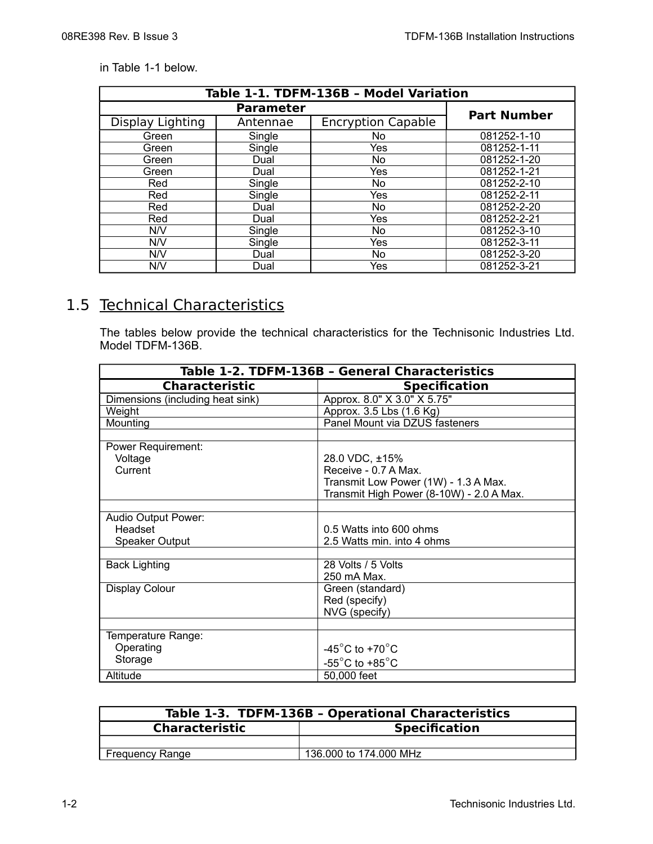#### in Table 1-1 below.

| Table 1-1. TDFM-136B - Model Variation |                    |                           |             |  |
|----------------------------------------|--------------------|---------------------------|-------------|--|
|                                        | <b>Part Number</b> |                           |             |  |
| Display Lighting                       | Antennae           | <b>Encryption Capable</b> |             |  |
| Green                                  | Single             | No                        | 081252-1-10 |  |
| Green                                  | Single             | Yes                       | 081252-1-11 |  |
| Green                                  | Dual               | No                        | 081252-1-20 |  |
| Green                                  | Dual               | Yes                       | 081252-1-21 |  |
| Red                                    | Single             | No                        | 081252-2-10 |  |
| Red                                    | Single             | Yes                       | 081252-2-11 |  |
| Red                                    | Dual               | No                        | 081252-2-20 |  |
| Red                                    | Dual               | Yes                       | 081252-2-21 |  |
| N/V                                    | Single             | No                        | 081252-3-10 |  |
| N/V                                    | Single             | Yes                       | 081252-3-11 |  |
| N/V                                    | Dual               | No                        | 081252-3-20 |  |
| N/V                                    | Dual               | Yes                       | 081252-3-21 |  |

## 1.5 Technical Characteristics

The tables below provide the technical characteristics for the Technisonic Industries Ltd. Model TDFM-136B.

| Table 1-2. TDFM-136B - General Characteristics |                                          |  |  |
|------------------------------------------------|------------------------------------------|--|--|
| Characteristic                                 | <b>Specification</b>                     |  |  |
| Dimensions (including heat sink)               | Approx. 8.0" X 3.0" X 5.75"              |  |  |
| Weight                                         | Approx. 3.5 Lbs (1.6 Kg)                 |  |  |
| Mounting                                       | Panel Mount via DZUS fasteners           |  |  |
|                                                |                                          |  |  |
| Power Requirement:                             |                                          |  |  |
| Voltage                                        | 28.0 VDC, ±15%                           |  |  |
| Current                                        | Receive - 0.7 A Max.                     |  |  |
|                                                | Transmit Low Power (1W) - 1.3 A Max.     |  |  |
|                                                | Transmit High Power (8-10W) - 2.0 A Max. |  |  |
|                                                |                                          |  |  |
| Audio Output Power:                            |                                          |  |  |
| Headset                                        | 0.5 Watts into 600 ohms                  |  |  |
| Speaker Output                                 | 2.5 Watts min. into 4 ohms               |  |  |
|                                                |                                          |  |  |
| <b>Back Lighting</b>                           | 28 Volts / 5 Volts                       |  |  |
|                                                | 250 mA Max.                              |  |  |
| Display Colour                                 | Green (standard)                         |  |  |
|                                                | Red (specify)                            |  |  |
|                                                | NVG (specify)                            |  |  |
|                                                |                                          |  |  |
| Temperature Range:                             |                                          |  |  |
| Operating                                      | -45 $^{\circ}$ C to +70 $^{\circ}$ C     |  |  |
| Storage                                        | -55 $^{\circ}$ C to +85 $^{\circ}$ C     |  |  |
| Altitude                                       | 50,000 feet                              |  |  |

| Table 1-3. TDFM-136B - Operational Characteristics |                        |  |
|----------------------------------------------------|------------------------|--|
| <b>Specification</b><br><b>Characteristic</b>      |                        |  |
|                                                    |                        |  |
| <b>Frequency Range</b>                             | 136,000 to 174,000 MHz |  |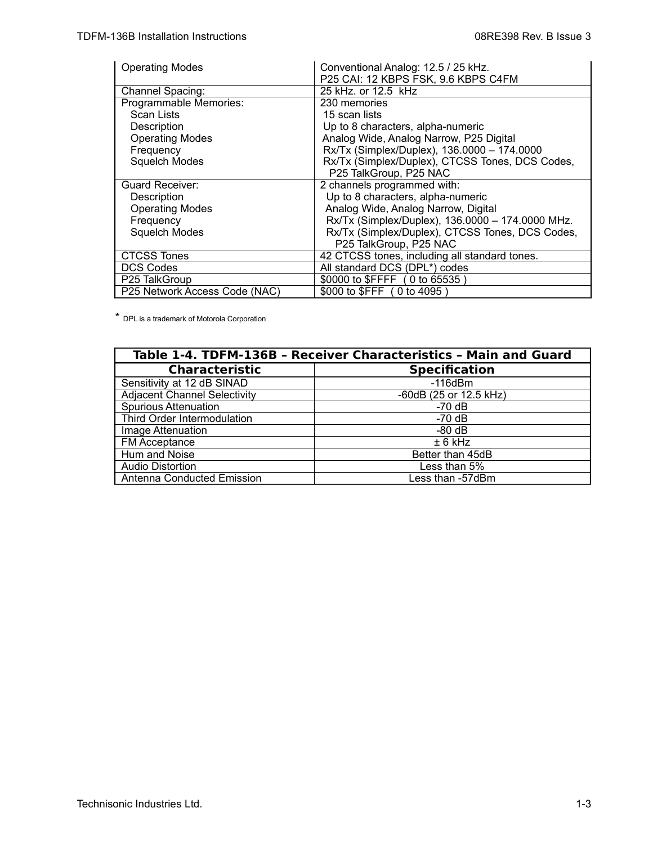| <b>Operating Modes</b>        | Conventional Analog: 12.5 / 25 kHz.<br>P25 CAI: 12 KBPS FSK, 9.6 KBPS C4FM |  |
|-------------------------------|----------------------------------------------------------------------------|--|
| Channel Spacing:              | 25 kHz. or 12.5 kHz                                                        |  |
| Programmable Memories:        | 230 memories                                                               |  |
| Scan Lists                    | 15 scan lists                                                              |  |
| Description                   | Up to 8 characters, alpha-numeric                                          |  |
| <b>Operating Modes</b>        | Analog Wide, Analog Narrow, P25 Digital                                    |  |
| Frequency                     | Rx/Tx (Simplex/Duplex), 136.0000 - 174.0000                                |  |
| Squelch Modes                 | Rx/Tx (Simplex/Duplex), CTCSS Tones, DCS Codes,<br>P25 TalkGroup, P25 NAC  |  |
| <b>Guard Receiver:</b>        | 2 channels programmed with:                                                |  |
| Description                   | Up to 8 characters, alpha-numeric                                          |  |
| <b>Operating Modes</b>        | Analog Wide, Analog Narrow, Digital                                        |  |
| Frequency                     | Rx/Tx (Simplex/Duplex), 136.0000 - 174.0000 MHz.                           |  |
| <b>Squelch Modes</b>          | Rx/Tx (Simplex/Duplex), CTCSS Tones, DCS Codes,                            |  |
|                               | P25 TalkGroup, P25 NAC                                                     |  |
| <b>CTCSS Tones</b>            | 42 CTCSS tones, including all standard tones.                              |  |
| <b>DCS Codes</b>              | All standard DCS (DPL*) codes                                              |  |
| P25 TalkGroup                 | \$0000 to \$FFFF (0 to 65535)                                              |  |
| P25 Network Access Code (NAC) | \$000 to \$FFF (0 to 4095)                                                 |  |

\* DPL is a trademark of Motorola Corporation

| Table 1-4. TDFM-136B - Receiver Characteristics - Main and Guard |                        |  |
|------------------------------------------------------------------|------------------------|--|
| <b>Characteristic</b>                                            | <b>Specification</b>   |  |
| Sensitivity at 12 dB SINAD                                       | $-116$ d $Bm$          |  |
| <b>Adjacent Channel Selectivity</b>                              | -60dB (25 or 12.5 kHz) |  |
| <b>Spurious Attenuation</b>                                      | -70 dB                 |  |
| Third Order Intermodulation                                      | -70 dB                 |  |
| Image Attenuation                                                | $-80$ dB               |  |
| FM Acceptance                                                    | $± 6$ kHz              |  |
| Hum and Noise                                                    | Better than 45dB       |  |
| <b>Audio Distortion</b>                                          | Less than 5%           |  |
| Antenna Conducted Emission                                       | Less than -57dBm       |  |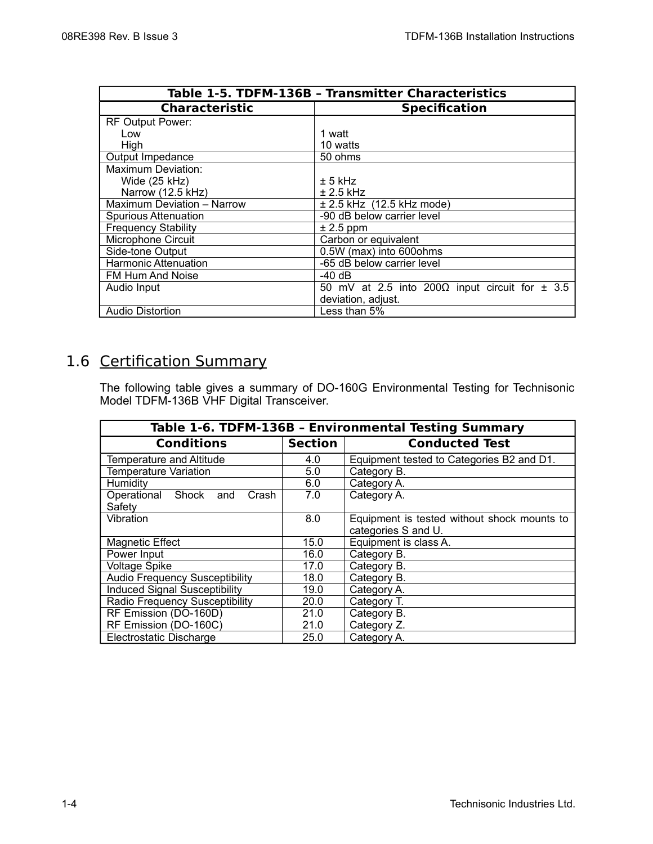| Table 1-5. TDFM-136B - Transmitter Characteristics |                                                            |  |
|----------------------------------------------------|------------------------------------------------------------|--|
| <b>Characteristic</b>                              | <b>Specification</b>                                       |  |
| RF Output Power:                                   |                                                            |  |
| Low                                                | 1 watt                                                     |  |
| High                                               | 10 watts                                                   |  |
| Output Impedance                                   | 50 ohms                                                    |  |
| Maximum Deviation:                                 |                                                            |  |
| Wide (25 kHz)                                      | $± 5$ kHz                                                  |  |
| Narrow (12.5 kHz)                                  | $\pm 2.5$ kHz                                              |  |
| Maximum Deviation - Narrow                         | ± 2.5 kHz (12.5 kHz mode)                                  |  |
| <b>Spurious Attenuation</b>                        | -90 dB below carrier level                                 |  |
| <b>Frequency Stability</b>                         | $± 2.5$ ppm                                                |  |
| Microphone Circuit                                 | Carbon or equivalent                                       |  |
| Side-tone Output                                   | 0.5W (max) into 600ohms                                    |  |
| <b>Harmonic Attenuation</b>                        | -65 dB below carrier level                                 |  |
| FM Hum And Noise                                   | -40 dB                                                     |  |
| Audio Input                                        | 50 mV at 2.5 into 200 $\Omega$ input circuit for $\pm$ 3.5 |  |
|                                                    | deviation, adjust.                                         |  |
| <b>Audio Distortion</b>                            | Less than 5%                                               |  |

## 1.6 Certification Summary

The following table gives a summary of DO-160G Environmental Testing for Technisonic Model TDFM-136B VHF Digital Transceiver.

| Table 1-6. TDFM-136B - Environmental Testing Summary |                |                                                                    |  |
|------------------------------------------------------|----------------|--------------------------------------------------------------------|--|
| <b>Conditions</b>                                    | <b>Section</b> | <b>Conducted Test</b>                                              |  |
| <b>Temperature and Altitude</b>                      | 4.0            | Equipment tested to Categories B2 and D1.                          |  |
| <b>Temperature Variation</b>                         | 5.0            | Category B.                                                        |  |
| <b>Humidity</b>                                      | 6.0            | Category A.                                                        |  |
| Operational Shock<br>Crash<br>and<br>Safety          | 7.0            | Category A.                                                        |  |
| Vibration                                            | 8.0            | Equipment is tested without shock mounts to<br>categories S and U. |  |
| <b>Magnetic Effect</b>                               | 15.0           | Equipment is class A.                                              |  |
| Power Input                                          | 16.0           | Category B.                                                        |  |
| <b>Voltage Spike</b>                                 | 17.0           | Category B.                                                        |  |
| <b>Audio Frequency Susceptibility</b>                | 18.0           | Category B.                                                        |  |
| <b>Induced Signal Susceptibility</b>                 | 19.0           | Category A.                                                        |  |
| Radio Frequency Susceptibility                       | 20.0           | Category T.                                                        |  |
| RF Emission (DO-160D)                                | 21.0           | Category B.                                                        |  |
| RF Emission (DO-160C)                                | 21.0           | Category Z.                                                        |  |
| Electrostatic Discharge                              | 25.0           | Category A.                                                        |  |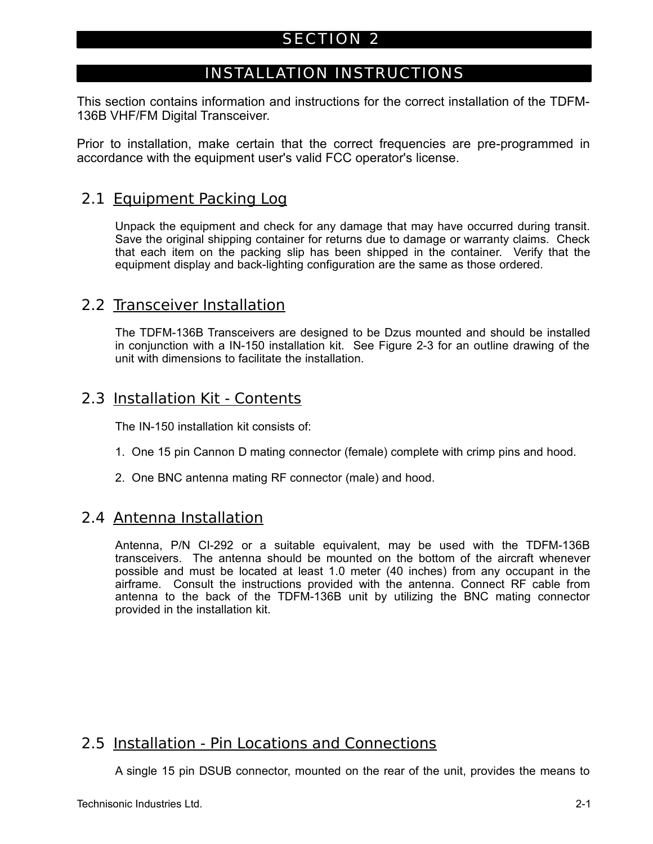## SECTION 2

## INSTALLATION INSTRUCTIONS

This section contains information and instructions for the correct installation of the TDFM-136B VHF/FM Digital Transceiver.

Prior to installation, make certain that the correct frequencies are pre-programmed in accordance with the equipment user's valid FCC operator's license.

## 2.1 Equipment Packing Log

Unpack the equipment and check for any damage that may have occurred during transit. Save the original shipping container for returns due to damage or warranty claims. Check that each item on the packing slip has been shipped in the container. Verify that the equipment display and back-lighting configuration are the same as those ordered.

## 2.2 Transceiver Installation

The TDFM-136B Transceivers are designed to be Dzus mounted and should be installed in conjunction with a IN-150 installation kit. See Figure 2-3 for an outline drawing of the unit with dimensions to facilitate the installation.

## 2.3 Installation Kit - Contents

The IN-150 installation kit consists of:

- 1. One 15 pin Cannon D mating connector (female) complete with crimp pins and hood.
- 2. One BNC antenna mating RF connector (male) and hood.

## 2.4 Antenna Installation

Antenna, P/N CI-292 or a suitable equivalent, may be used with the TDFM-136B transceivers. The antenna should be mounted on the bottom of the aircraft whenever possible and must be located at least 1.0 meter (40 inches) from any occupant in the airframe. Consult the instructions provided with the antenna. Connect RF cable from antenna to the back of the TDFM-136B unit by utilizing the BNC mating connector provided in the installation kit.

## 2.5 Installation - Pin Locations and Connections

A single 15 pin DSUB connector, mounted on the rear of the unit, provides the means to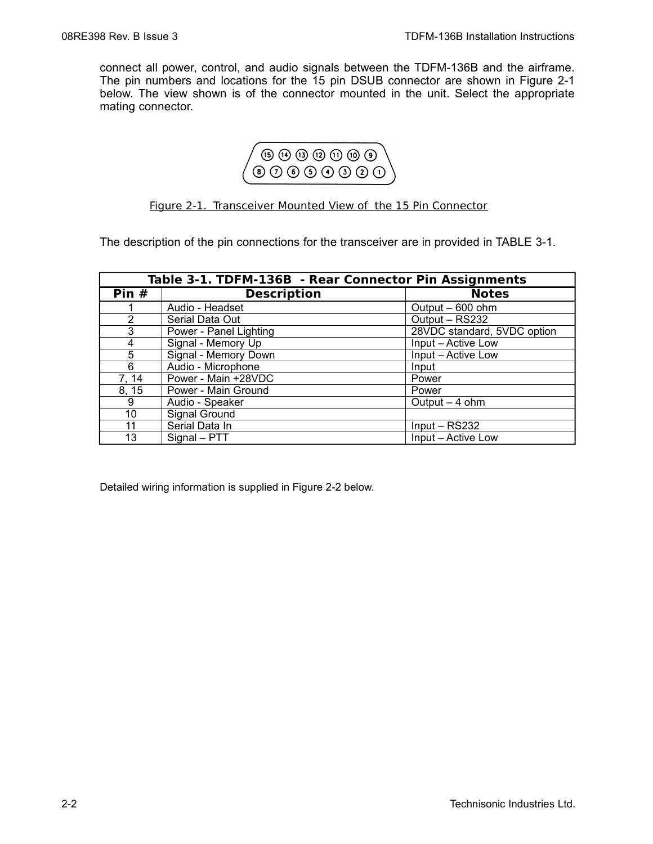connect all power, control, and audio signals between the TDFM-136B and the airframe. The pin numbers and locations for the 15 pin DSUB connector are shown in Figure 2-1 below. The view shown is of the connector mounted in the unit. Select the appropriate mating connector.



#### Figure 2-1. Transceiver Mounted View of the 15 Pin Connector

The description of the pin connections for the transceiver are in provided in TABLE 3-1.

| Table 3-1. TDFM-136B - Rear Connector Pin Assignments |                        |                             |
|-------------------------------------------------------|------------------------|-----------------------------|
| Pin $#$                                               | <b>Description</b>     | <b>Notes</b>                |
|                                                       | Audio - Headset        | Output - 600 ohm            |
| $\overline{2}$                                        | Serial Data Out        | Output - RS232              |
| 3                                                     | Power - Panel Lighting | 28VDC standard, 5VDC option |
| 4                                                     | Signal - Memory Up     | Input - Active Low          |
| 5                                                     | Signal - Memory Down   | Input – Active Low          |
| 6                                                     | Audio - Microphone     | Input                       |
| 7, 14                                                 | Power - Main +28VDC    | Power                       |
| 8, 15                                                 | Power - Main Ground    | Power                       |
| 9                                                     | Audio - Speaker        | Output $-4$ ohm             |
| 10                                                    | Signal Ground          |                             |
| 11                                                    | Serial Data In         | $Input - RS232$             |
| 13                                                    | Signal - PTT           | Input - Active Low          |

Detailed wiring information is supplied in Figure 2-2 below.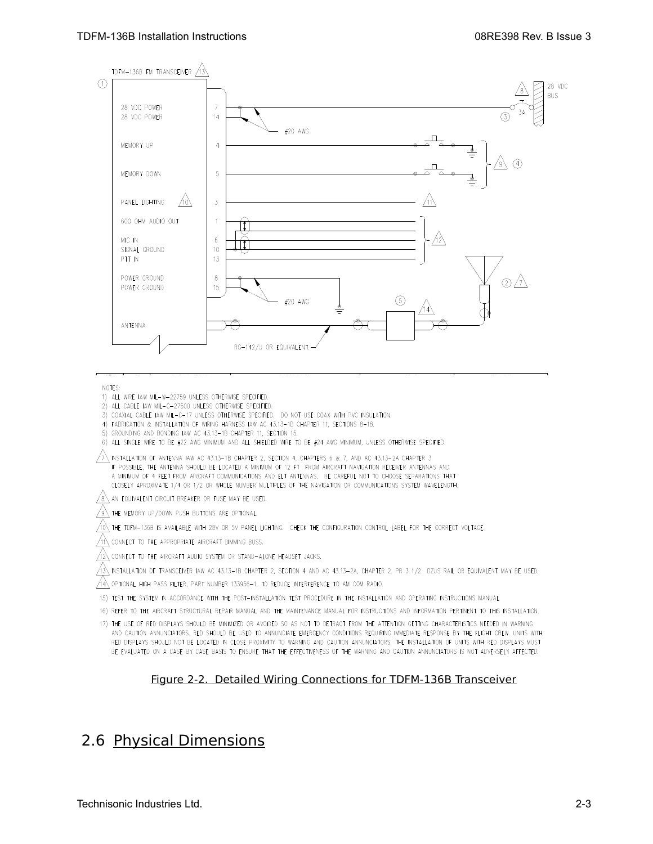

NOTES:

- 1) ALL WIRE IAW MIL-W-22759 UNLESS OTHERWISE SPECIFIED.
- 2) ALL CABLE IAW MIL-C-27500 UNLESS OTHERWISE SPECIFIED.
- 3) COAXIAL CABLE IAW MIL-C-17 UNLESS OTHERWISE SPECIFIED. DO NOT USE COAX WITH PVC INSULATION.
- 4) FABRICATION & INSTALLATION OF WIRING HARNESS IAW AC 43.13-1B CHAPTER 11, SECTIONS 8-18.
- 5) GROUNDING AND BONDING IAW AC 43.13-1B CHAPTER 11, SECTION 15.
- 6) ALL SINGLE WIRE TO BE #22 AWG MINIMUM AND ALL SHIELDED WIRE TO BE #24 AWG MINIMUM, UNLESS OTHERWISE SPECIFIED.

 $\sqrt{7}$  INSTALLATION OF ANTENNA IAW AC 43.13-1B CHAPTER 2, SECTION 4, CHAPTERS 6 & 7, AND AC 43.13-2A CHAPTER 3. IF POSSIBLE, THE ANTENNA SHOULD BE LOCATED A MINIMUM OF 12 FT FROM AIRCRAFT NAVIGATION RECEIVER ANTENNAS AND A MINIMUM OF 4 FEET FROM AIRCRAFT COMMUNICATIONS AND ELT ANTENNAS. BE CAREFUL NOT TO CHOOSE SEPARATIONS THAT CLOSELY APROXIMATE 1/4 OR 1/2 OR WHOLE NUMBER MULTIPLES OF THE NAVIGATION OR COMMUNICATIONS SYSTEM WAVELENGTH.

AN EQUIVALENT CIRCUIT BREAKER OR FUSE MAY BE USED.

THE MEMORY UP/DOWN PUSH BUTTONS ARE OPTIONAL.

Λλ THE TDFM-136B IS AVAILABLE WITH 28V OR 5V PANEL LIGHTING. CHECK THE CONFIGURATION CONTROL LABEL FOR THE CORRECT VOLTAGE.

/11 CONNECT TO THE APPROPRIATE AIRCRAFT DIMMING BUSS.

ЛÀ CONNECT TO THE AIRCRAFT AUDIO SYSTEM OR STAND-ALONE HEADSET JACKS.

 $\overbrace{13}$  installation of transceiver iaw ac 43.13-18 chapter 2, section 4 and ac 43.13-2A, Chapter 2. Pr 3 1/2 DZUS RAIL OR EQUIVALENT MAY BE USED.

 $\sqrt{4}$  optional high pass filter, part number 133956-1, to reduce interference to am com radio.

15) TEST THE SYSTEM IN ACCORDANCE WITH THE POST-INSTALLATION TEST PROCEDURE IN THE INSTALLATION AND OPERATING INSTRUCTIONS MANUAL.

16) REFER TO THE AIRCRAFT STRUCTURAL REPAIR MANUAL AND THE MAINTENANCE MANUAL FOR INSTRUCTIONS AND INFORMATION PERTINENT TO THIS INSTALLATION.

17) THE USE OF RED DISPLAYS SHOULD BE MINIMIZED OR AVOIDED SO AS NOT TO DETRACT FROM THE ATTENTION GETTING CHARACTERISTICS NEEDED IN WARNING AND CAUTION ANNUNCIATORS. RED SHOULD BE USED TO ANNUNCIATE EMERGENCY CONDITIONS REQUIRING IMMEDIATE RESPONSE BY THE FLIGHT CREW. UNITS WITH RED DISPLAYS SHOULD NOT BE LOCATED IN CLOSE PROXIMITY TO WARNING AND CAUTION ANNUNCIATORS. THE INSTALLATION OF UNITS WITH RED DISPLAYS MUST BE EVALUATED ON A CASE BY CASE BASIS TO ENSURE THAT THE EFFECTIVENESS OF THE WARNING AND CAUTION ANNUNCIATORS IS NOT ADVERSELY AFFECTED.

Figure 2-2. Detailed Wiring Connections for TDFM-136B Transceiver

## 2.6 Physical Dimensions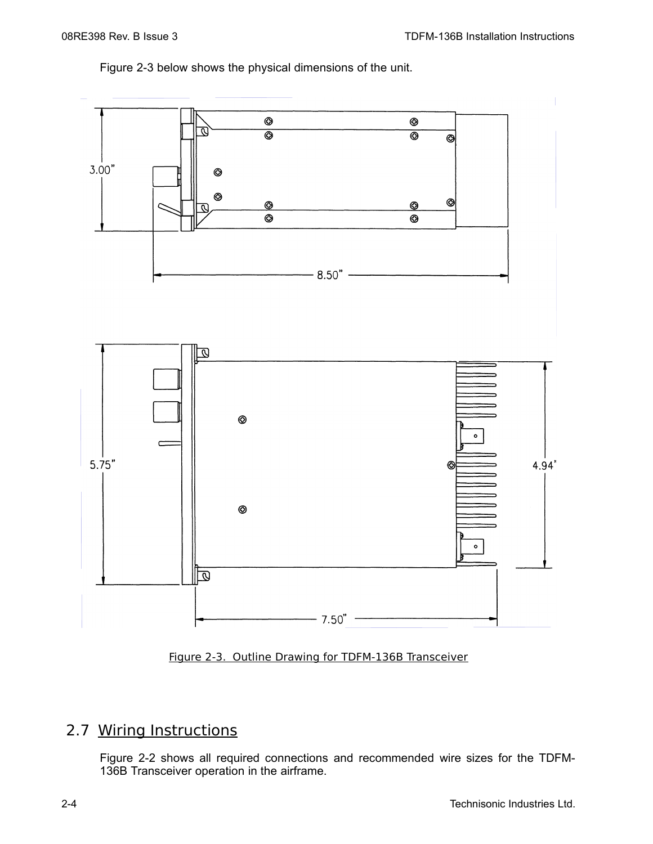Figure 2-3 below shows the physical dimensions of the unit.





## 2.7 Wiring Instructions

Figure 2-2 shows all required connections and recommended wire sizes for the TDFM-136B Transceiver operation in the airframe.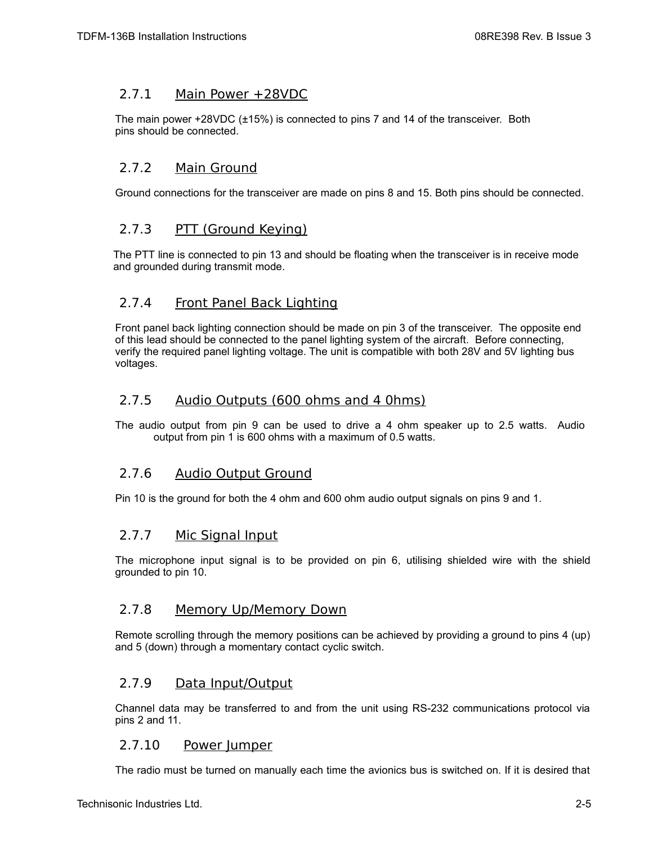#### 2.7.1 Main Power +28VDC

The main power +28VDC (±15%) is connected to pins 7 and 14 of the transceiver. Both pins should be connected.

#### 2.7.2 Main Ground

Ground connections for the transceiver are made on pins 8 and 15. Both pins should be connected.

#### 2.7.3 PTT (Ground Keying)

The PTT line is connected to pin 13 and should be floating when the transceiver is in receive mode and grounded during transmit mode.

#### 2.7.4 Front Panel Back Lighting

Front panel back lighting connection should be made on pin 3 of the transceiver. The opposite end of this lead should be connected to the panel lighting system of the aircraft. Before connecting, verify the required panel lighting voltage. The unit is compatible with both 28V and 5V lighting bus voltages.

#### 2.7.5 Audio Outputs (600 ohms and 4 0hms)

The audio output from pin 9 can be used to drive a 4 ohm speaker up to 2.5 watts. Audio output from pin 1 is 600 ohms with a maximum of 0.5 watts.

#### 2.7.6 Audio Output Ground

Pin 10 is the ground for both the 4 ohm and 600 ohm audio output signals on pins 9 and 1.

#### 2.7.7 Mic Signal Input

The microphone input signal is to be provided on pin 6, utilising shielded wire with the shield grounded to pin 10.

#### 2.7.8 Memory Up/Memory Down

Remote scrolling through the memory positions can be achieved by providing a ground to pins 4 (up) and 5 (down) through a momentary contact cyclic switch.

#### 2.7.9 Data Input/Output

Channel data may be transferred to and from the unit using RS-232 communications protocol via pins 2 and 11.

#### 2.7.10 Power Jumper

The radio must be turned on manually each time the avionics bus is switched on. If it is desired that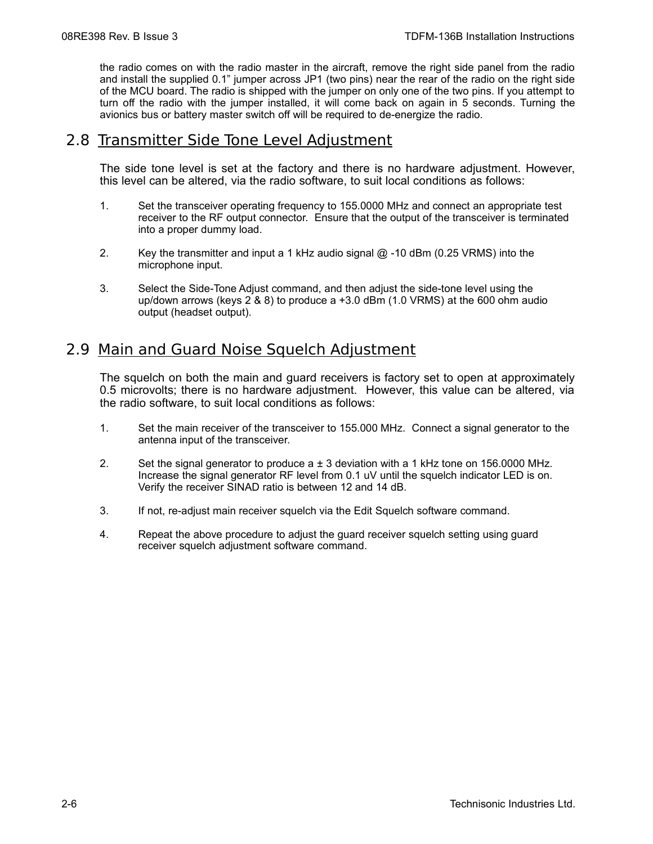the radio comes on with the radio master in the aircraft, remove the right side panel from the radio and install the supplied 0.1" jumper across JP1 (two pins) near the rear of the radio on the right side of the MCU board. The radio is shipped with the jumper on only one of the two pins. If you attempt to turn off the radio with the jumper installed, it will come back on again in 5 seconds. Turning the avionics bus or battery master switch off will be required to de-energize the radio.

#### 2.8 Transmitter Side Tone Level Adjustment

The side tone level is set at the factory and there is no hardware adjustment. However, this level can be altered, via the radio software, to suit local conditions as follows:

- 1. Set the transceiver operating frequency to 155.0000 MHz and connect an appropriate test receiver to the RF output connector. Ensure that the output of the transceiver is terminated into a proper dummy load.
- 2. Key the transmitter and input a 1 kHz audio signal @ -10 dBm (0.25 VRMS) into the microphone input.
- 3. Select the Side-Tone Adjust command, and then adjust the side-tone level using the up/down arrows (keys 2 & 8) to produce a +3.0 dBm (1.0 VRMS) at the 600 ohm audio output (headset output).

## 2.9 Main and Guard Noise Squelch Adjustment

The squelch on both the main and guard receivers is factory set to open at approximately 0.5 microvolts; there is no hardware adjustment. However, this value can be altered, via the radio software, to suit local conditions as follows:

- 1. Set the main receiver of the transceiver to 155.000 MHz. Connect a signal generator to the antenna input of the transceiver.
- 2. Set the signal generator to produce  $a \pm 3$  deviation with a 1 kHz tone on 156.0000 MHz. Increase the signal generator RF level from 0.1 uV until the squelch indicator LED is on. Verify the receiver SINAD ratio is between 12 and 14 dB.
- 3. If not, re-adjust main receiver squelch via the Edit Squelch software command.
- 4. Repeat the above procedure to adjust the guard receiver squelch setting using guard receiver squelch adjustment software command.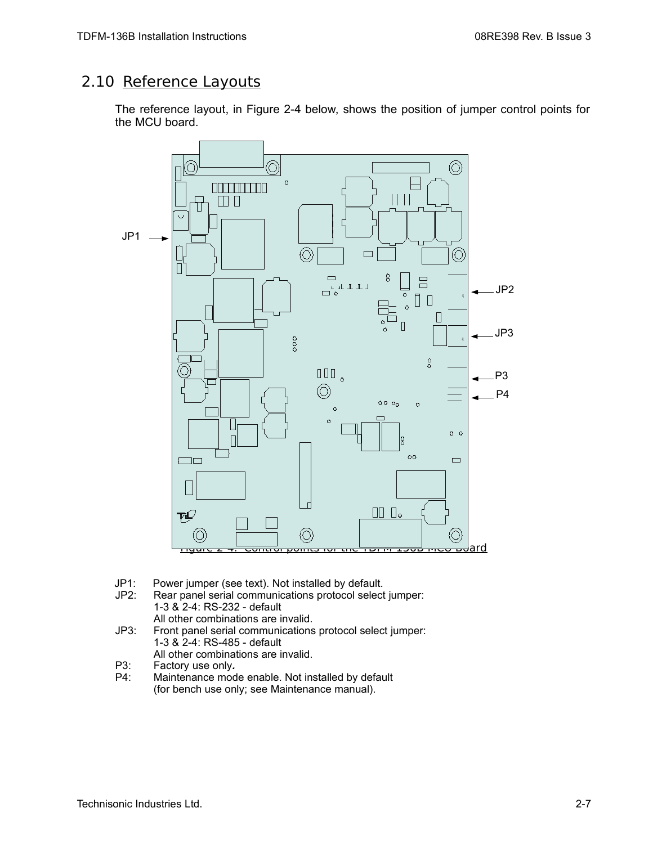## 2.10 Reference Layouts

The reference layout, in Figure 2-4 below, shows the position of jumper control points for the MCU board.



- JP1: Power jumper (see text). Not installed by default.<br>JP2: Rear panel serial communications protocol select
- Rear panel serial communications protocol select jumper: 1-3 & 2-4: RS-232 - default All other combinations are invalid.
- JP3: Front panel serial communications protocol select jumper: 1-3 & 2-4: RS-485 - default All other combinations are invalid.
- P3: Factory use only*.*
- P4: Maintenance mode enable. Not installed by default (for bench use only; see Maintenance manual).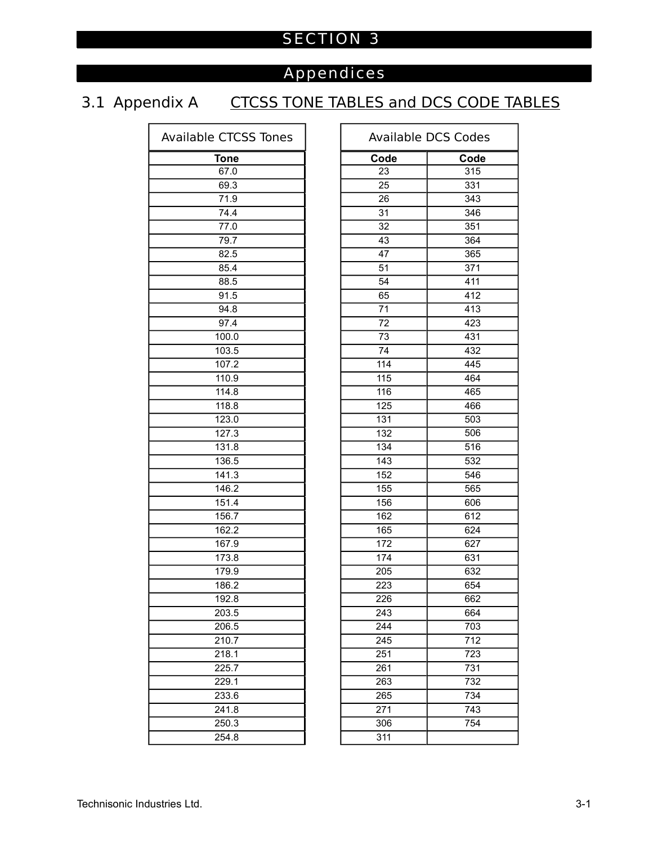## SECTION 3

## Appendices

## 3.1 Appendix A CTCSS TONE TABLES and DCS CODE TABLES

| <b>Available CTCSS Tones</b> | Ava              |
|------------------------------|------------------|
| <b>Tone</b>                  | Cod              |
| 67.0                         | 23               |
| 69.3                         | 25               |
| 71.9                         | 26               |
| 74.4                         | 31               |
| 77.0                         | $\overline{32}$  |
| 79.7                         | 43               |
| 82.5                         | 47               |
| 85.4                         | 51               |
| 88.5                         | 54               |
| 91.5                         | 65               |
| 94.8                         | $\overline{71}$  |
| 97.4                         | 72               |
| 100.0                        | $\overline{73}$  |
| 103.5                        | 74               |
| 107.2                        | 114              |
| 110.9                        | 115              |
| 114.8                        | 116              |
| 118.8                        | $\overline{125}$ |
| 123.0                        | 131              |
| 127.3                        | 132              |
| 131.8                        | 134              |
| 136.5                        | 143              |
| 141.3                        | 152              |
| 146.2                        | 155              |
| 151.4                        | 156              |
| 156.7                        | 162              |
| 162.2                        | 165              |
| 167.9                        | 172              |
| 173.8                        | 174              |
| 179.9                        | 205              |
| 186.2                        | 223              |
| 192.8                        | 226              |
| 203.5                        | 243              |
| 206.5                        | 244              |
| 210.7                        | 245              |
| 218.1                        | 251              |
| 225.7                        | 261              |
| 229.1                        | 263              |
| 233.6                        | 265              |
| 241.8                        | 271              |
| 250.3                        | 306              |
| 254.8                        | 311              |

| <b>Available CTCSS Tones</b> |      | <b>Available DCS Codes</b> |
|------------------------------|------|----------------------------|
| <b>Tone</b>                  | Code | Code                       |
| 67.0                         | 23   | 315                        |
| 69.3                         | 25   | 331                        |
| 71.9                         | 26   | 343                        |
| 74.4                         | 31   | 346                        |
| 77.0                         | 32   | 351                        |
| 79.7                         | 43   | 364                        |
| 82.5                         | 47   | 365                        |
| 85.4                         | 51   | 371                        |
| 88.5                         | 54   | 411                        |
| 91.5                         | 65   | 412                        |
| 94.8                         | 71   | 413                        |
| 97.4                         | 72   | 423                        |
| 100.0                        | 73   | 431                        |
| 103.5                        | 74   | 432                        |
| 107.2                        | 114  | 445                        |
| 110.9                        | 115  | 464                        |
| 114.8                        | 116  | 465                        |
| 118.8                        | 125  | 466                        |
| 123.0                        | 131  | 503                        |
| 127.3                        | 132  | 506                        |
| 131.8                        | 134  | 516                        |
| 136.5                        | 143  | 532                        |
| 141.3                        | 152  | 546                        |
| 146.2                        | 155  | 565                        |
| 151.4                        | 156  | 606                        |
| 156.7                        | 162  | 612                        |
| 162.2                        | 165  | 624                        |
| 167.9                        | 172  | 627                        |
| 173.8                        | 174  | 631                        |
| 179.9                        | 205  | 632                        |
| 186.2                        | 223  | 654                        |
| 192.8                        | 226  | 662                        |
| 203.5                        | 243  | 664                        |
| 206.5                        | 244  | 703                        |
| 210.7                        | 245  | 712                        |
| 218.1                        | 251  | 723                        |
| 225.7                        | 261  | 731                        |
| 229.1                        | 263  | 732                        |
| 233.6                        | 265  | 734                        |
| 241.8                        | 271  | 743                        |
| 250.3                        | 306  | 754                        |
| 254.8                        | 311  |                            |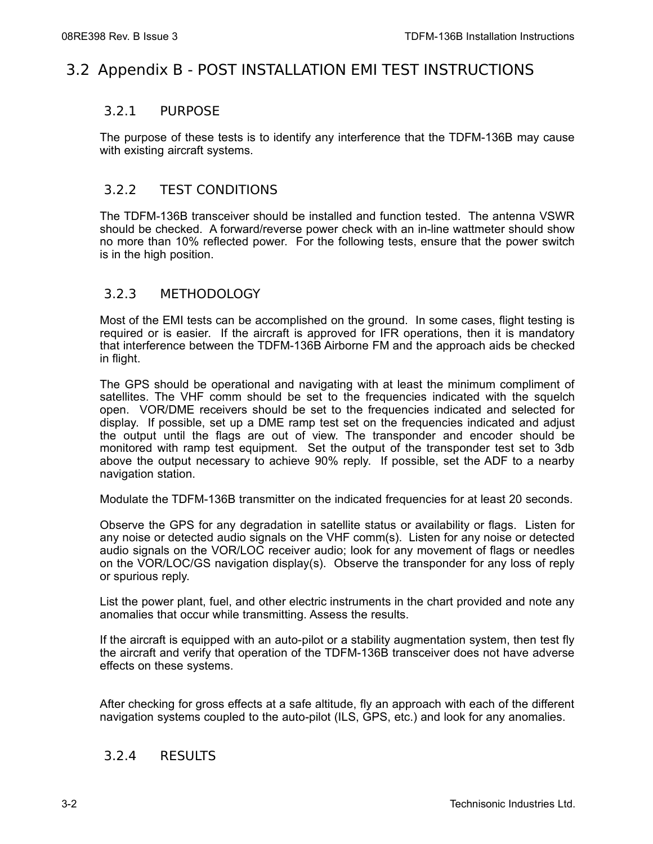## 3.2 Appendix B - POST INSTALLATION EMI TEST INSTRUCTIONS

#### 3.2.1 PURPOSE

The purpose of these tests is to identify any interference that the TDFM-136B may cause with existing aircraft systems.

#### 3.2.2 TEST CONDITIONS

The TDFM-136B transceiver should be installed and function tested. The antenna VSWR should be checked. A forward/reverse power check with an in-line wattmeter should show no more than 10% reflected power. For the following tests, ensure that the power switch is in the high position.

#### 3.2.3 METHODOLOGY

Most of the EMI tests can be accomplished on the ground. In some cases, flight testing is required or is easier. If the aircraft is approved for IFR operations, then it is mandatory that interference between the TDFM-136B Airborne FM and the approach aids be checked in flight.

The GPS should be operational and navigating with at least the minimum compliment of satellites. The VHF comm should be set to the frequencies indicated with the squelch open. VOR/DME receivers should be set to the frequencies indicated and selected for display. If possible, set up a DME ramp test set on the frequencies indicated and adjust the output until the flags are out of view. The transponder and encoder should be monitored with ramp test equipment. Set the output of the transponder test set to 3db above the output necessary to achieve 90% reply. If possible, set the ADF to a nearby navigation station.

Modulate the TDFM-136B transmitter on the indicated frequencies for at least 20 seconds.

Observe the GPS for any degradation in satellite status or availability or flags. Listen for any noise or detected audio signals on the VHF comm(s). Listen for any noise or detected audio signals on the VOR/LOC receiver audio; look for any movement of flags or needles on the VOR/LOC/GS navigation display(s). Observe the transponder for any loss of reply or spurious reply.

List the power plant, fuel, and other electric instruments in the chart provided and note any anomalies that occur while transmitting. Assess the results.

If the aircraft is equipped with an auto-pilot or a stability augmentation system, then test fly the aircraft and verify that operation of the TDFM-136B transceiver does not have adverse effects on these systems.

After checking for gross effects at a safe altitude, fly an approach with each of the different navigation systems coupled to the auto-pilot (ILS, GPS, etc.) and look for any anomalies.

#### 3.2.4 RESULTS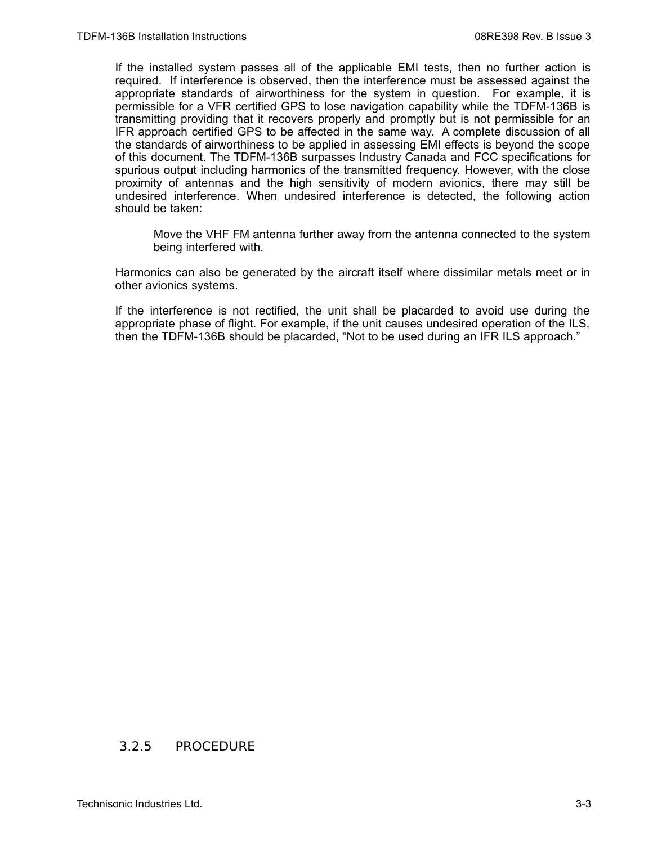If the installed system passes all of the applicable EMI tests, then no further action is required. If interference is observed, then the interference must be assessed against the appropriate standards of airworthiness for the system in question. For example, it is permissible for a VFR certified GPS to lose navigation capability while the TDFM-136B is transmitting providing that it recovers properly and promptly but is not permissible for an IFR approach certified GPS to be affected in the same way. A complete discussion of all the standards of airworthiness to be applied in assessing EMI effects is beyond the scope of this document. The TDFM-136B surpasses Industry Canada and FCC specifications for spurious output including harmonics of the transmitted frequency. However, with the close proximity of antennas and the high sensitivity of modern avionics, there may still be undesired interference. When undesired interference is detected, the following action should be taken:

Move the VHF FM antenna further away from the antenna connected to the system being interfered with.

Harmonics can also be generated by the aircraft itself where dissimilar metals meet or in other avionics systems.

If the interference is not rectified, the unit shall be placarded to avoid use during the appropriate phase of flight. For example, if the unit causes undesired operation of the ILS, then the TDFM-136B should be placarded, "Not to be used during an IFR ILS approach."

#### 3.2.5 PROCEDURE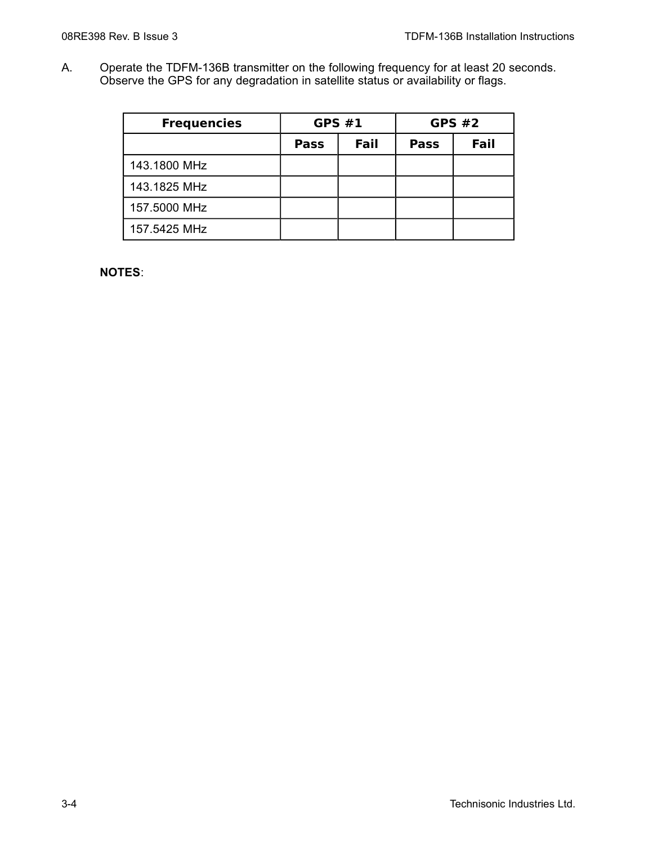A. Operate the TDFM-136B transmitter on the following frequency for at least 20 seconds. Observe the GPS for any degradation in satellite status or availability or flags.

| <b>Frequencies</b> | <b>GPS #1</b> |      | <b>GPS #2</b> |      |
|--------------------|---------------|------|---------------|------|
|                    | <b>Pass</b>   | Fail | <b>Pass</b>   | Fail |
| 143.1800 MHz       |               |      |               |      |
| 143.1825 MHz       |               |      |               |      |
| 157.5000 MHz       |               |      |               |      |
| 157.5425 MHz       |               |      |               |      |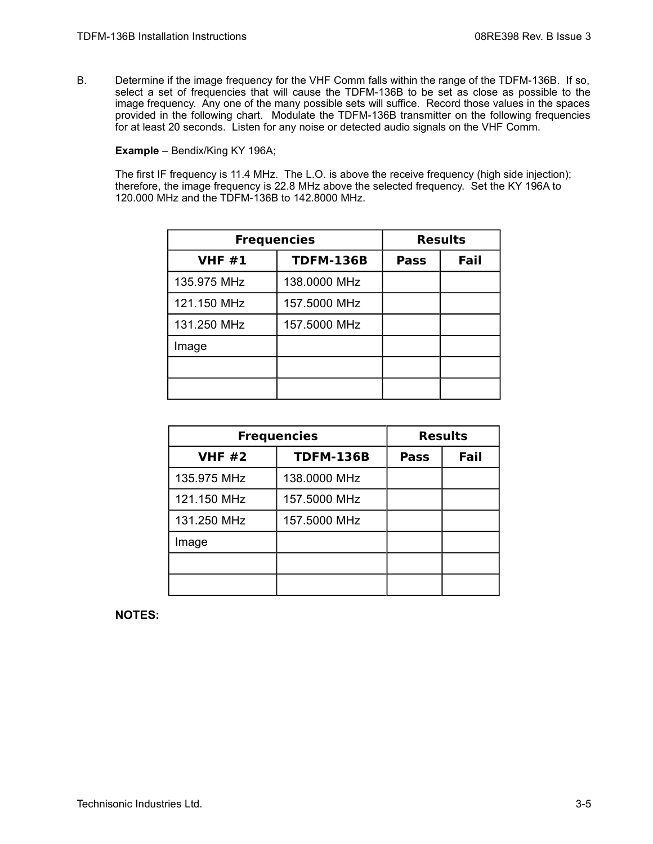B. Determine if the image frequency for the VHF Comm falls within the range of the TDFM-136B. If so, select a set of frequencies that will cause the TDFM-136B to be set as close as possible to the image frequency. Any one of the many possible sets will suffice. Record those values in the spaces provided in the following chart. Modulate the TDFM-136B transmitter on the following frequencies for at least 20 seconds. Listen for any noise or detected audio signals on the VHF Comm.

**Example** – Bendix/King KY 196A;

The first IF frequency is 11.4 MHz. The L.O. is above the receive frequency (high side injection); therefore, the image frequency is 22.8 MHz above the selected frequency. Set the KY 196A to 120.000 MHz and the TDFM-136B to 142.8000 MHz.

| <b>Frequencies</b> |                  |             | <b>Results</b> |
|--------------------|------------------|-------------|----------------|
| <b>VHF #1</b>      | <b>TDFM-136B</b> | <b>Pass</b> | Fail           |
| 135.975 MHz        | 138.0000 MHz     |             |                |
| 121.150 MHz        | 157.5000 MHz     |             |                |
| 131.250 MHz        | 157.5000 MHz     |             |                |
| Image              |                  |             |                |
|                    |                  |             |                |
|                    |                  |             |                |

| <b>Frequencies</b> |                  | <b>Results</b> |      |
|--------------------|------------------|----------------|------|
| <b>VHF #2</b>      | <b>TDFM-136B</b> | <b>Pass</b>    | Fail |
| 135.975 MHz        | 138.0000 MHz     |                |      |
| 121.150 MHz        | 157.5000 MHz     |                |      |
| 131.250 MHz        | 157.5000 MHz     |                |      |
| Image              |                  |                |      |
|                    |                  |                |      |
|                    |                  |                |      |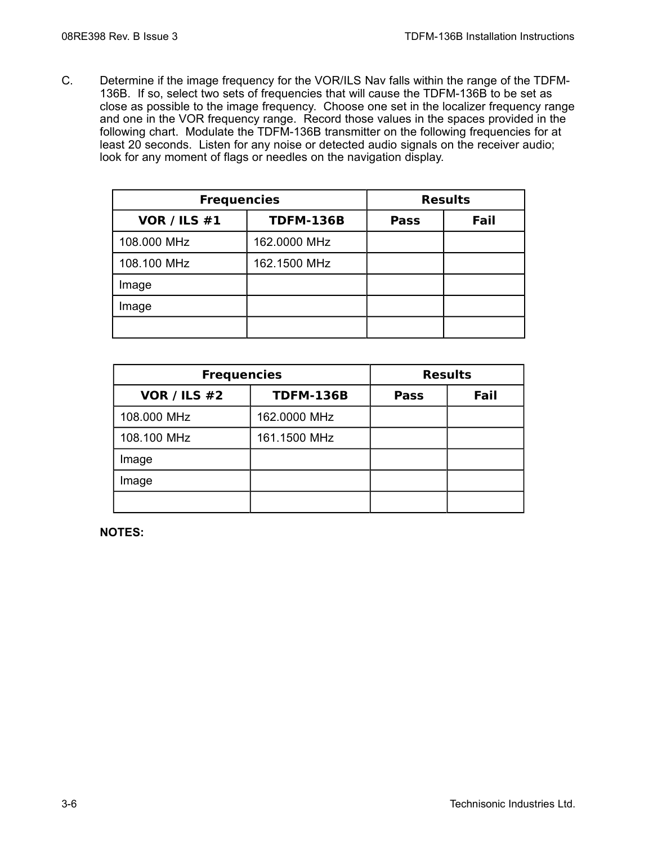C. Determine if the image frequency for the VOR/ILS Nav falls within the range of the TDFM-136B. If so, select two sets of frequencies that will cause the TDFM-136B to be set as close as possible to the image frequency. Choose one set in the localizer frequency range and one in the VOR frequency range. Record those values in the spaces provided in the following chart. Modulate the TDFM-136B transmitter on the following frequencies for at least 20 seconds. Listen for any noise or detected audio signals on the receiver audio; look for any moment of flags or needles on the navigation display.

| <b>Frequencies</b>  |                  |             | <b>Results</b> |
|---------------------|------------------|-------------|----------------|
| <b>VOR / ILS #1</b> | <b>TDFM-136B</b> | <b>Pass</b> | Fail           |
| 108.000 MHz         | 162.0000 MHz     |             |                |
| 108.100 MHz         | 162.1500 MHz     |             |                |
| Image               |                  |             |                |
| Image               |                  |             |                |
|                     |                  |             |                |

| <b>Frequencies</b>          |                  |             | <b>Results</b> |
|-----------------------------|------------------|-------------|----------------|
| <b>VOR / ILS #2</b>         | <b>TDFM-136B</b> | <b>Pass</b> | Fail           |
| 108.000 MHz                 | 162.0000 MHz     |             |                |
| 108.100 MHz<br>161.1500 MHz |                  |             |                |
| Image                       |                  |             |                |
| Image                       |                  |             |                |
|                             |                  |             |                |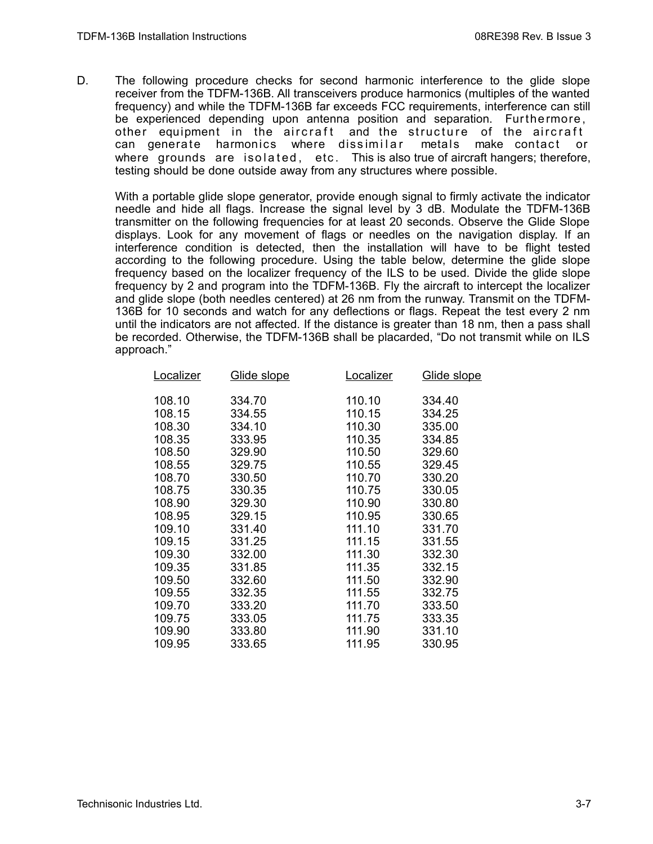D. The following procedure checks for second harmonic interference to the glide slope receiver from the TDFM-136B. All transceivers produce harmonics (multiples of the wanted frequency) and while the TDFM-136B far exceeds FCC requirements, interference can still be experienced depending upon antenna position and separation. Furthermore, other equipment in the aircraft and the structure of the aircraft can generate harmonics where dissimilar metals make contact or where grounds are isolated, etc. This is also true of aircraft hangers; therefore, testing should be done outside away from any structures where possible.

With a portable glide slope generator, provide enough signal to firmly activate the indicator needle and hide all flags. Increase the signal level by 3 dB. Modulate the TDFM-136B transmitter on the following frequencies for at least 20 seconds. Observe the Glide Slope displays. Look for any movement of flags or needles on the navigation display. If an interference condition is detected, then the installation will have to be flight tested according to the following procedure. Using the table below, determine the glide slope frequency based on the localizer frequency of the ILS to be used. Divide the glide slope frequency by 2 and program into the TDFM-136B. Fly the aircraft to intercept the localizer and glide slope (both needles centered) at 26 nm from the runway. Transmit on the TDFM-136B for 10 seconds and watch for any deflections or flags. Repeat the test every 2 nm until the indicators are not affected. If the distance is greater than 18 nm, then a pass shall be recorded. Otherwise, the TDFM-136B shall be placarded, "Do not transmit while on ILS approach."

| Localizer | <u>Glide slope</u> | <b>Localizer</b> | Glide slope |
|-----------|--------------------|------------------|-------------|
| 108.10    | 334.70             | 110.10           | 334.40      |
| 108.15    | 334.55             | 110.15           | 334.25      |
| 108.30    | 334.10             | 110.30           | 335.00      |
| 108.35    | 333.95             | 110.35           | 334.85      |
| 108.50    | 329.90             | 110.50           | 329.60      |
| 108.55    | 329.75             | 110.55           | 329.45      |
| 108.70    | 330.50             | 110.70           | 330.20      |
| 108.75    | 330.35             | 110.75           | 330.05      |
| 108.90    | 329.30             | 110.90           | 330.80      |
| 108.95    | 329.15             | 110.95           | 330.65      |
| 109.10    | 331.40             | 111.10           | 331.70      |
| 109.15    | 331.25             | 111.15           | 331.55      |
| 109.30    | 332.00             | 111.30           | 332.30      |
| 109.35    | 331.85             | 111.35           | 332.15      |
| 109.50    | 332.60             | 111.50           | 332.90      |
| 109.55    | 332.35             | 111.55           | 332.75      |
| 109.70    | 333.20             | 111.70           | 333.50      |
| 109.75    | 333.05             | 111.75           | 333.35      |
| 109.90    | 333.80             | 111.90           | 331.10      |
| 109.95    | 333.65             | 111.95           | 330.95      |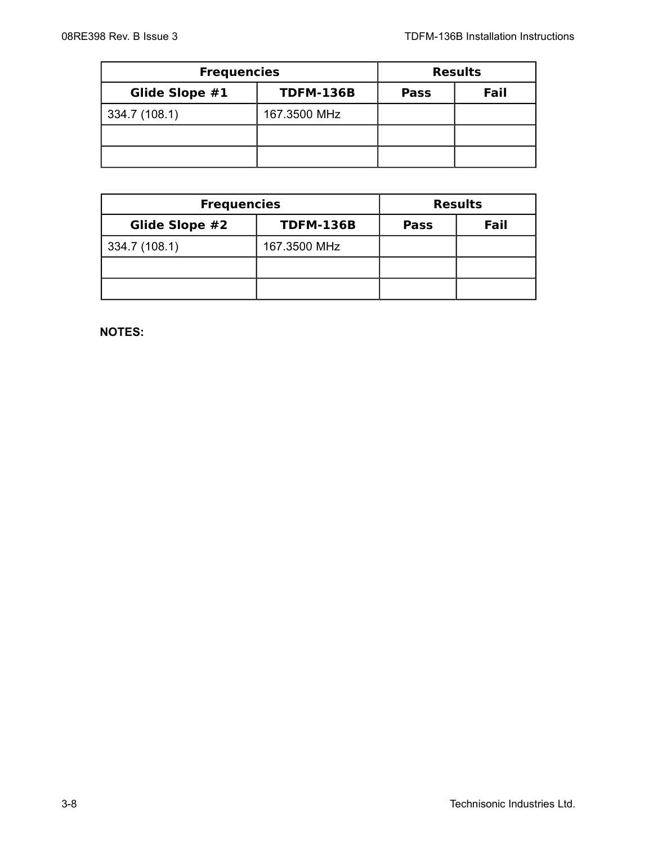| <b>Frequencies</b> |                  |             | <b>Results</b> |
|--------------------|------------------|-------------|----------------|
| Glide Slope #1     | <b>TDFM-136B</b> | <b>Pass</b> | Fail           |
| 334.7 (108.1)      | 167.3500 MHz     |             |                |
|                    |                  |             |                |
|                    |                  |             |                |

| <b>Frequencies</b> |                  |             | <b>Results</b> |
|--------------------|------------------|-------------|----------------|
| Glide Slope #2     | <b>TDFM-136B</b> | <b>Pass</b> | Fail           |
| 334.7 (108.1)      | 167.3500 MHz     |             |                |
|                    |                  |             |                |
|                    |                  |             |                |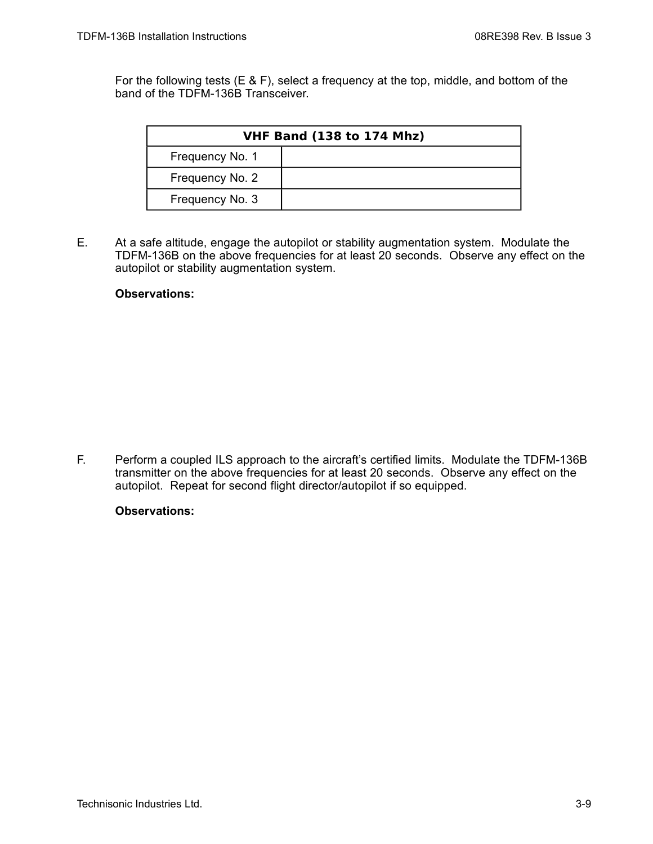For the following tests (E & F), select a frequency at the top, middle, and bottom of the band of the TDFM-136B Transceiver.

| <b>VHF Band (138 to 174 Mhz)</b> |  |  |
|----------------------------------|--|--|
| Frequency No. 1                  |  |  |
| Frequency No. 2                  |  |  |
| Frequency No. 3                  |  |  |

E. At a safe altitude, engage the autopilot or stability augmentation system. Modulate the TDFM-136B on the above frequencies for at least 20 seconds. Observe any effect on the autopilot or stability augmentation system.

#### **Observations:**

F. Perform a coupled ILS approach to the aircraft's certified limits. Modulate the TDFM-136B transmitter on the above frequencies for at least 20 seconds. Observe any effect on the autopilot. Repeat for second flight director/autopilot if so equipped.

#### **Observations:**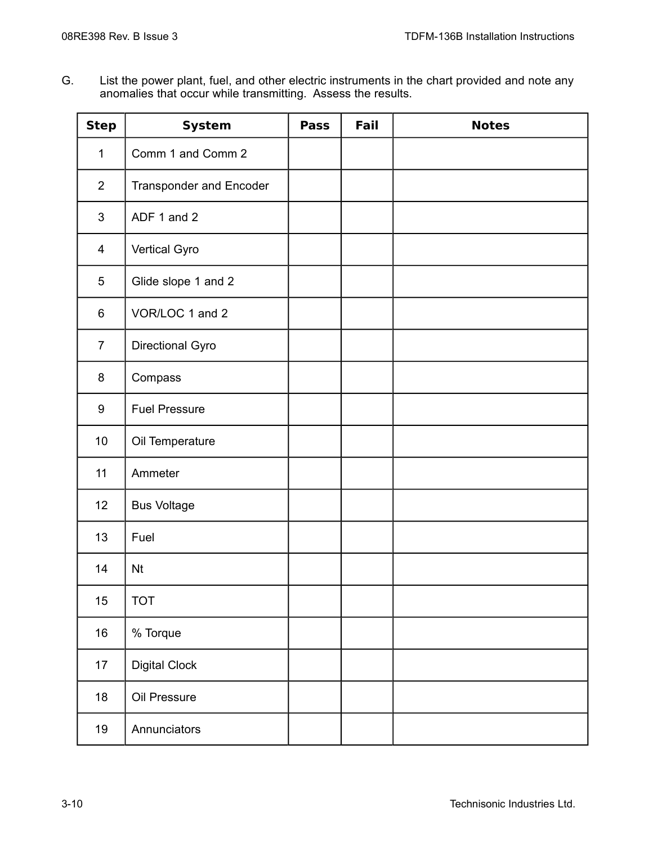G. List the power plant, fuel, and other electric instruments in the chart provided and note any anomalies that occur while transmitting. Assess the results.

| <b>Step</b>    | <b>System</b>                  | <b>Pass</b> | Fail | <b>Notes</b> |
|----------------|--------------------------------|-------------|------|--------------|
| $\mathbf{1}$   | Comm 1 and Comm 2              |             |      |              |
| $\overline{2}$ | <b>Transponder and Encoder</b> |             |      |              |
| $\mathfrak{S}$ | ADF 1 and 2                    |             |      |              |
| 4              | Vertical Gyro                  |             |      |              |
| $\overline{5}$ | Glide slope 1 and 2            |             |      |              |
| 6              | VOR/LOC 1 and 2                |             |      |              |
| $\overline{7}$ | Directional Gyro               |             |      |              |
| 8              | Compass                        |             |      |              |
| 9              | <b>Fuel Pressure</b>           |             |      |              |
| 10             | Oil Temperature                |             |      |              |
| 11             | Ammeter                        |             |      |              |
| 12             | <b>Bus Voltage</b>             |             |      |              |
| 13             | Fuel                           |             |      |              |
| 14             | <b>Nt</b>                      |             |      |              |
| 15             | <b>TOT</b>                     |             |      |              |
| 16             | % Torque                       |             |      |              |
| 17             | <b>Digital Clock</b>           |             |      |              |
| 18             | Oil Pressure                   |             |      |              |
| 19             | Annunciators                   |             |      |              |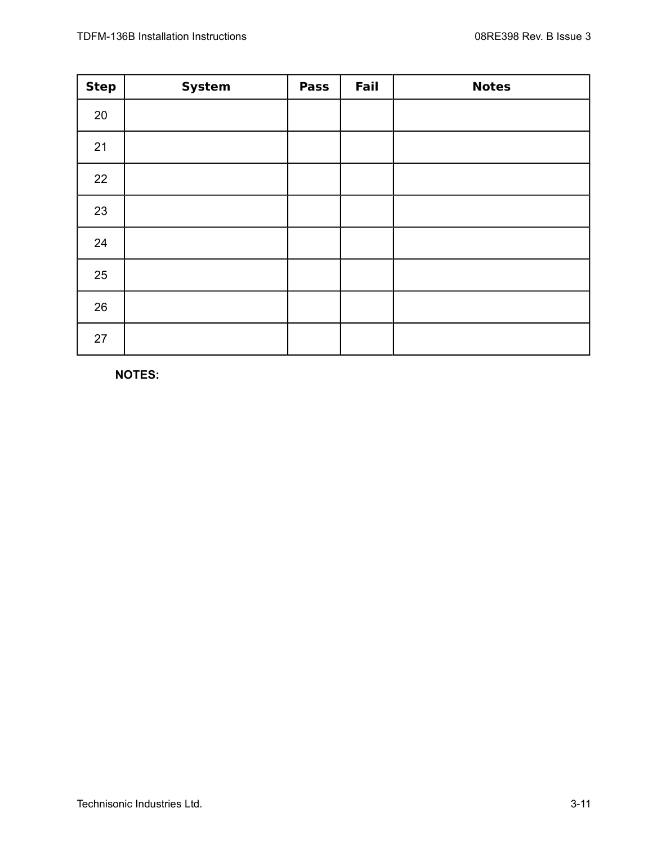| <b>Step</b> | <b>System</b> | <b>Pass</b> | Fail | <b>Notes</b> |
|-------------|---------------|-------------|------|--------------|
| 20          |               |             |      |              |
| 21          |               |             |      |              |
| 22          |               |             |      |              |
| 23          |               |             |      |              |
| 24          |               |             |      |              |
| 25          |               |             |      |              |
| 26          |               |             |      |              |
| 27          |               |             |      |              |